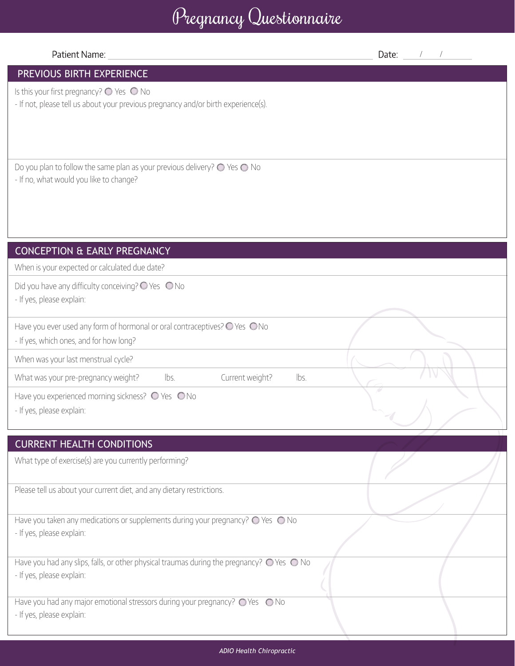# Pregnancy Questionnaire

#### Patient Name:

Date:  $\frac{1}{2}$  / /  $\frac{1}{2}$ 

## PREVIOUS BIRTH EXPERIENCE

Is this your first pregnancy?  $\bigcirc$  Yes  $\bigcirc$  No

- If not, please tell us about your previous pregnancy and/or birth experience(s).

Do you plan to follow the same plan as your previous delivery?  $\bigcirc$  Yes  $\bigcirc$  No - If no, what would you like to change?

## CONCEPTION & EARLY PREGNANCY

When is your expected or calculated due date?

Did you have any difficulty conceiving?  $\bigcirc$  Yes  $\bigcirc$  No

- If yes, please explain:

Have you ever used any form of hormonal or oral contraceptives?  $\bigcirc$  Yes  $\bigcirc$  No

- If yes, which ones, and for how long?

When was your last menstrual cycle?

What was your pre-pregnancy weight? lbs. Current weight? lbs.

Have you experienced morning sickness?  $\bigcirc$  Yes  $\bigcirc$  No

- If yes, please explain:

#### CURRENT HEALTH CONDITIONS

What type of exercise(s) are you currently performing?

Please tell us about your current diet, and any dietary restrictions.

Have you taken any medications or supplements during your pregnancy?  $\bigcirc$  Yes  $\bigcirc$  No - If yes, please explain:

Have you had any slips, falls, or other physical traumas during the pregnancy?  $\bigcirc$  Yes  $\bigcirc$  No - If yes, please explain:

Have you had any major emotional stressors during your pregnancy?  $\bigcirc$  Yes  $\bigcirc$  No

- If yes, please explain: